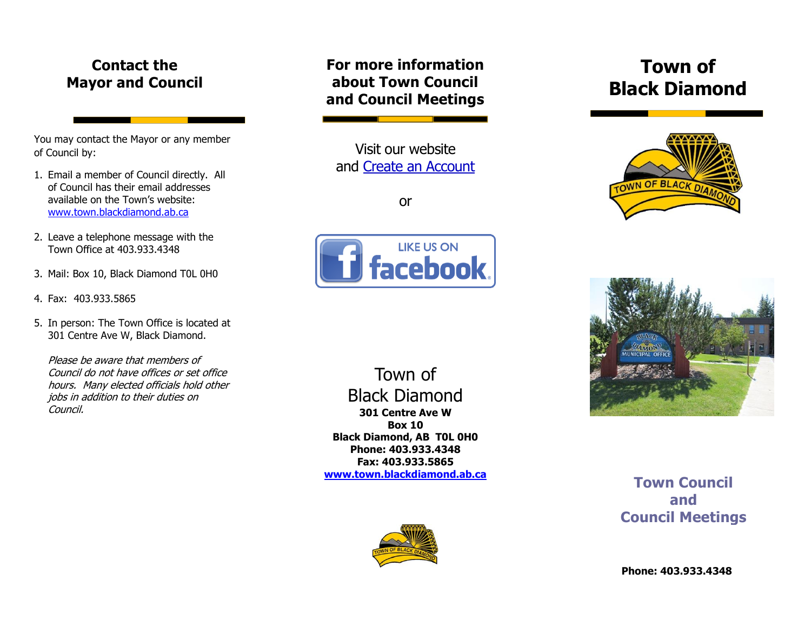## **Contact the Mayor and Council**

You may contact the Mayor or any member of Council by:

- 1. Email a member of Council directly. All of Council has their email addresses available on the Town's website: [www.town.blackdiamond.ab.ca](http://www.town.blackdiamond.ab.ca/217/Mayor-Council)
- 2. Leave a telephone message with the Town Office at 403.933.4348
- 3. Mail: Box 10, Black Diamond T0L 0H0
- 4. Fax: 403.933.5865
- 5. In person: The Town Office is located at 301 Centre Ave W, Black Diamond.

Please be aware that members of Council do not have offices or set office hours. Many elected officials hold other jobs in addition to their duties on Council.

### **For more information about Town Council and Council Meetings**

Visit our website and [Create an Account](https://ab-blackdiamond.civicplus.com/MyAccount/ProfileCreate?from=url&url=/&dn=http://www.town.blackdiamond.ab.ca&dn=www.town.blackdiamond.ab.ca)

or



# **Town of Black Diamond**





**Town Council and Council Meetings**

**301 Centre Ave W Box 10 Black Diamond, AB T0L 0H0 Phone: 403.933.4348 Fax: 403.933.5865 [www.town.blackdiamond.ab.ca](http://www.town.blackdiamond.ab.ca/)**

Town of

Black Diamond

**Phone: 403.933.4348**